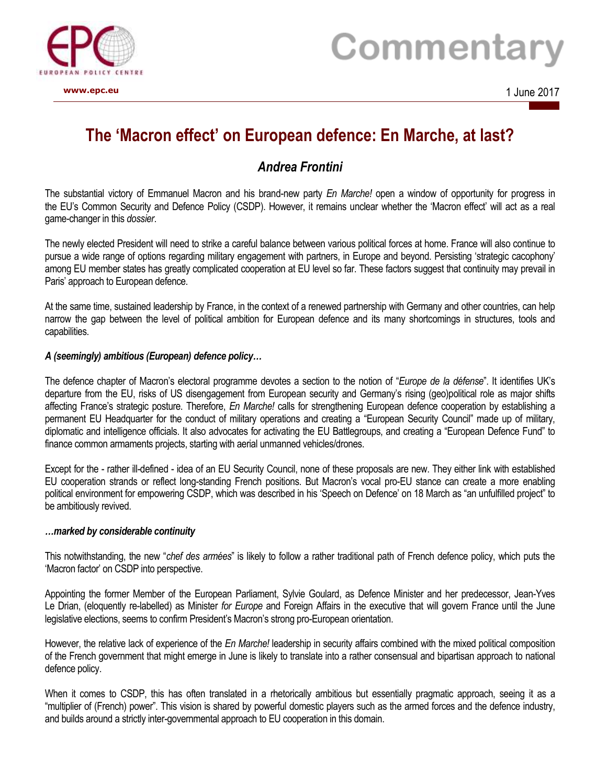

# Commentary

**www.epc.eu** 1 June 2017

## **The 'Macron effect' on European defence: En Marche, at last?**

### *Andrea Frontini*

The substantial victory of Emmanuel Macron and his brand-new party *En Marche!* open a window of opportunity for progress in the EU's Common Security and Defence Policy (CSDP). However, it remains unclear whether the 'Macron effect' will act as a real game-changer in this *dossier*.

The newly elected President will need to strike a careful balance between various political forces at home. France will also continue to pursue a wide range of options regarding military engagement with partners, in Europe and beyond. Persisting 'strategic cacophony' among EU member states has greatly complicated cooperation at EU level so far. These factors suggest that continuity may prevail in Paris' approach to European defence.

At the same time, sustained leadership by France, in the context of a renewed partnership with Germany and other countries, can help narrow the gap between the level of political ambition for European defence and its many shortcomings in structures, tools and capabilities.

#### *A (seemingly) ambitious (European) defence policy…*

The defence chapter of Macron's electoral programme devotes a section to the notion of "*Europe de la défense*". It identifies UK's departure from the EU, risks of US disengagement from European security and Germany's rising (geo)political role as major shifts affecting France's strategic posture. Therefore, *En Marche!* calls for strengthening European defence cooperation by establishing a permanent EU Headquarter for the conduct of military operations and creating a "European Security Council" made up of military, diplomatic and intelligence officials. It also advocates for activating the EU Battlegroups, and creating a "European Defence Fund" to finance common armaments projects, starting with aerial unmanned vehicles/drones.

Except for the - rather ill-defined - idea of an EU Security Council, none of these proposals are new. They either link with established EU cooperation strands or reflect long-standing French positions. But Macron's vocal pro-EU stance can create a more enabling political environment for empowering CSDP, which was described in his 'Speech on Defence' on 18 March as "an unfulfilled project" to be ambitiously revived.

#### *…marked by considerable continuity*

This notwithstanding, the new "*chef des armées*" is likely to follow a rather traditional path of French defence policy, which puts the 'Macron factor' on CSDP into perspective.

Appointing the former Member of the European Parliament, Sylvie Goulard, as Defence Minister and her predecessor, Jean-Yves Le Drian, (eloquently re-labelled) as Minister *for Europe* and Foreign Affairs in the executive that will govern France until the June legislative elections, seems to confirm President's Macron's strong pro-European orientation.

However, the relative lack of experience of the *En Marche!* leadership in security affairs combined with the mixed political composition of the French government that might emerge in June is likely to translate into a rather consensual and bipartisan approach to national defence policy.

When it comes to CSDP, this has often translated in a rhetorically ambitious but essentially pragmatic approach, seeing it as a "multiplier of (French) power". This vision is shared by powerful domestic players such as the armed forces and the defence industry, and builds around a strictly inter-governmental approach to EU cooperation in this domain.